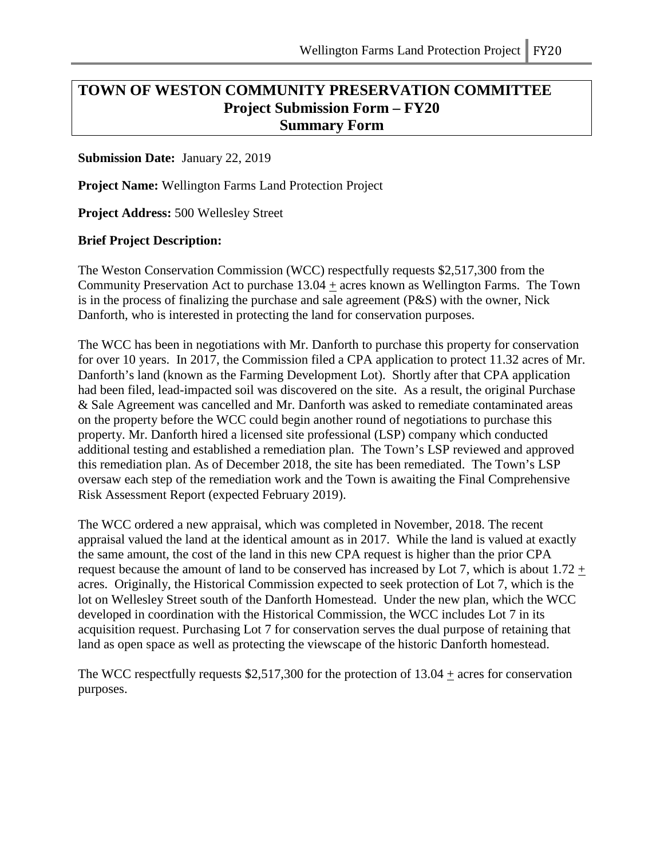# **TOWN OF WESTON COMMUNITY PRESERVATION COMMITTEE Project Submission Form – FY20 Summary Form**

### **Submission Date:** January 22, 2019

**Project Name:** Wellington Farms Land Protection Project

**Project Address:** 500 Wellesley Street

#### **Brief Project Description:**

The Weston Conservation Commission (WCC) respectfully requests \$2,517,300 from the Community Preservation Act to purchase 13.04 + acres known as Wellington Farms. The Town is in the process of finalizing the purchase and sale agreement (P&S) with the owner, Nick Danforth, who is interested in protecting the land for conservation purposes.

The WCC has been in negotiations with Mr. Danforth to purchase this property for conservation for over 10 years. In 2017, the Commission filed a CPA application to protect 11.32 acres of Mr. Danforth's land (known as the Farming Development Lot). Shortly after that CPA application had been filed, lead-impacted soil was discovered on the site. As a result, the original Purchase & Sale Agreement was cancelled and Mr. Danforth was asked to remediate contaminated areas on the property before the WCC could begin another round of negotiations to purchase this property. Mr. Danforth hired a licensed site professional (LSP) company which conducted additional testing and established a remediation plan. The Town's LSP reviewed and approved this remediation plan. As of December 2018, the site has been remediated. The Town's LSP oversaw each step of the remediation work and the Town is awaiting the Final Comprehensive Risk Assessment Report (expected February 2019).

The WCC ordered a new appraisal, which was completed in November, 2018. The recent appraisal valued the land at the identical amount as in 2017. While the land is valued at exactly the same amount, the cost of the land in this new CPA request is higher than the prior CPA request because the amount of land to be conserved has increased by Lot 7, which is about  $1.72 +$ acres. Originally, the Historical Commission expected to seek protection of Lot 7, which is the lot on Wellesley Street south of the Danforth Homestead. Under the new plan, which the WCC developed in coordination with the Historical Commission, the WCC includes Lot 7 in its acquisition request. Purchasing Lot 7 for conservation serves the dual purpose of retaining that land as open space as well as protecting the viewscape of the historic Danforth homestead.

The WCC respectfully requests \$2,517,300 for the protection of  $13.04 \pm \text{acres}$  for conservation purposes.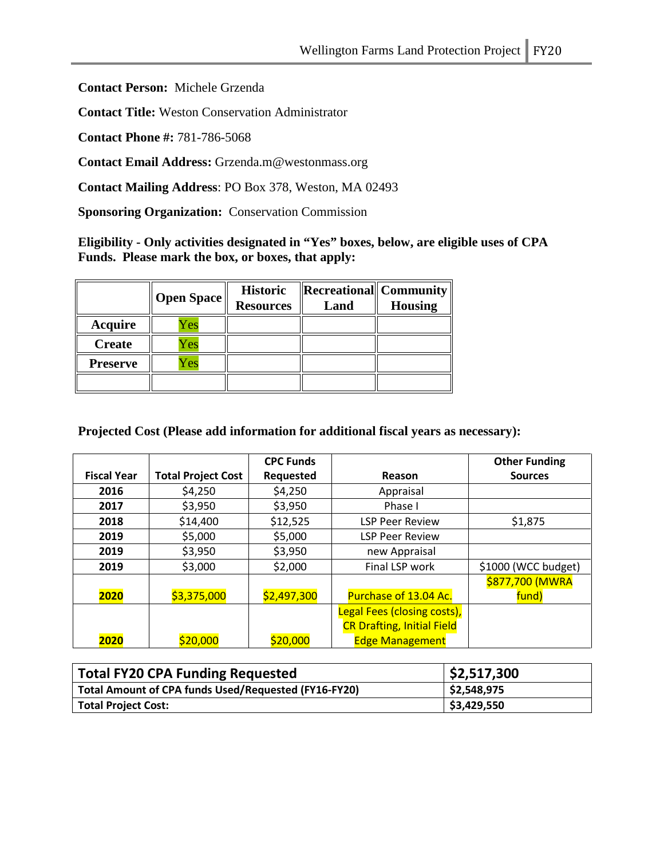**Contact Person:** Michele Grzenda

**Contact Title:** Weston Conservation Administrator

**Contact Phone #:** 781-786-5068

**Contact Email Address:** Grzenda.m@westonmass.org

**Contact Mailing Address**: PO Box 378, Weston, MA 02493

**Sponsoring Organization:** Conservation Commission

**Eligibility - Only activities designated in "Yes" boxes, below, are eligible uses of CPA Funds. Please mark the box, or boxes, that apply:**

|                 | Open Space | <b>Historic</b><br><b>Resources</b> | $\ $ <b>Recreational</b> $\ $ Community<br>Land | <b>Housing</b> |
|-----------------|------------|-------------------------------------|-------------------------------------------------|----------------|
| Acquire         | <b>Zes</b> |                                     |                                                 |                |
| <b>Create</b>   | Yes        |                                     |                                                 |                |
| <b>Preserve</b> | Yes        |                                     |                                                 |                |
|                 |            |                                     |                                                 |                |

**Projected Cost (Please add information for additional fiscal years as necessary):**

|                    |                           | <b>CPC Funds</b> |                                   | <b>Other Funding</b> |
|--------------------|---------------------------|------------------|-----------------------------------|----------------------|
| <b>Fiscal Year</b> | <b>Total Project Cost</b> | Requested        | Reason                            | <b>Sources</b>       |
| 2016               | \$4,250                   | \$4,250          | Appraisal                         |                      |
| 2017               | \$3,950                   | \$3,950          | Phase I                           |                      |
| 2018               | \$14,400                  | \$12,525         | <b>LSP Peer Review</b>            | \$1,875              |
| 2019               | \$5,000                   | \$5,000          | <b>LSP Peer Review</b>            |                      |
| 2019               | \$3,950                   | \$3,950          | new Appraisal                     |                      |
| 2019               | \$3,000                   | \$2,000          | Final LSP work                    | \$1000 (WCC budget)  |
|                    |                           |                  |                                   | \$877,700 (MWRA      |
| 2020               | \$3,375,000               | \$2,497,300      | Purchase of 13.04 Ac.             | fund)                |
|                    |                           |                  | Legal Fees (closing costs),       |                      |
|                    |                           |                  | <b>CR Drafting, Initial Field</b> |                      |
| 2020               | \$20,000                  | \$20,000         | <b>Edge Management</b>            |                      |

| <b>Total FY20 CPA Funding Requested</b>              | \$2,517,300 |
|------------------------------------------------------|-------------|
| Total Amount of CPA funds Used/Requested (FY16-FY20) | \$2,548,975 |
| <b>Total Project Cost:</b>                           | \$3,429,550 |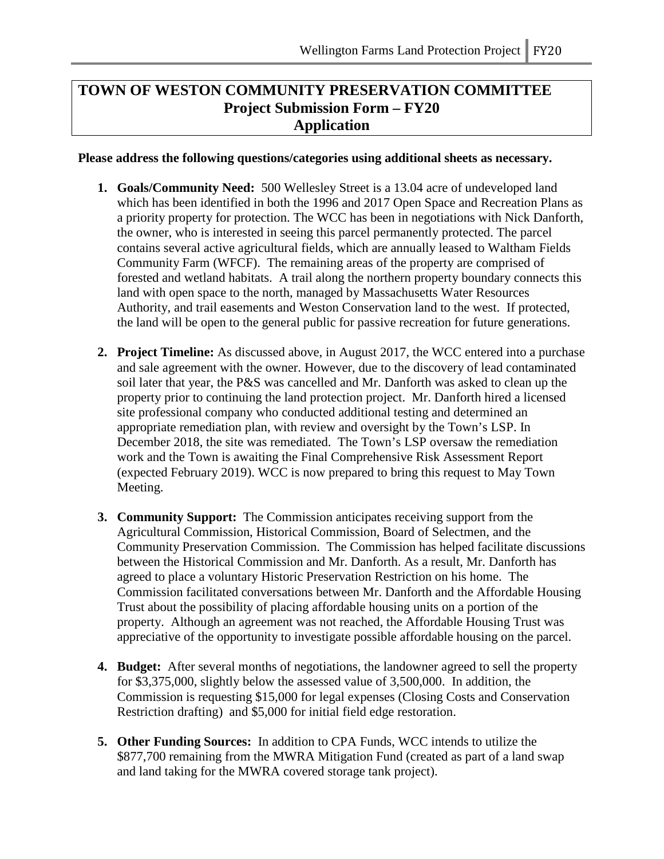# **TOWN OF WESTON COMMUNITY PRESERVATION COMMITTEE Project Submission Form – FY20 Application**

**Please address the following questions/categories using additional sheets as necessary.**

- **1. Goals/Community Need:** 500 Wellesley Street is a 13.04 acre of undeveloped land which has been identified in both the 1996 and 2017 Open Space and Recreation Plans as a priority property for protection. The WCC has been in negotiations with Nick Danforth, the owner, who is interested in seeing this parcel permanently protected. The parcel contains several active agricultural fields, which are annually leased to Waltham Fields Community Farm (WFCF). The remaining areas of the property are comprised of forested and wetland habitats. A trail along the northern property boundary connects this land with open space to the north, managed by Massachusetts Water Resources Authority, and trail easements and Weston Conservation land to the west. If protected, the land will be open to the general public for passive recreation for future generations.
- **2. Project Timeline:** As discussed above, in August 2017, the WCC entered into a purchase and sale agreement with the owner. However, due to the discovery of lead contaminated soil later that year, the P&S was cancelled and Mr. Danforth was asked to clean up the property prior to continuing the land protection project. Mr. Danforth hired a licensed site professional company who conducted additional testing and determined an appropriate remediation plan, with review and oversight by the Town's LSP. In December 2018, the site was remediated. The Town's LSP oversaw the remediation work and the Town is awaiting the Final Comprehensive Risk Assessment Report (expected February 2019). WCC is now prepared to bring this request to May Town Meeting.
- **3. Community Support:** The Commission anticipates receiving support from the Agricultural Commission, Historical Commission, Board of Selectmen, and the Community Preservation Commission. The Commission has helped facilitate discussions between the Historical Commission and Mr. Danforth. As a result, Mr. Danforth has agreed to place a voluntary Historic Preservation Restriction on his home. The Commission facilitated conversations between Mr. Danforth and the Affordable Housing Trust about the possibility of placing affordable housing units on a portion of the property. Although an agreement was not reached, the Affordable Housing Trust was appreciative of the opportunity to investigate possible affordable housing on the parcel.
- **4. Budget:** After several months of negotiations, the landowner agreed to sell the property for \$3,375,000, slightly below the assessed value of 3,500,000. In addition, the Commission is requesting \$15,000 for legal expenses (Closing Costs and Conservation Restriction drafting) and \$5,000 for initial field edge restoration.
- **5. Other Funding Sources:** In addition to CPA Funds, WCC intends to utilize the \$877,700 remaining from the MWRA Mitigation Fund (created as part of a land swap and land taking for the MWRA covered storage tank project).